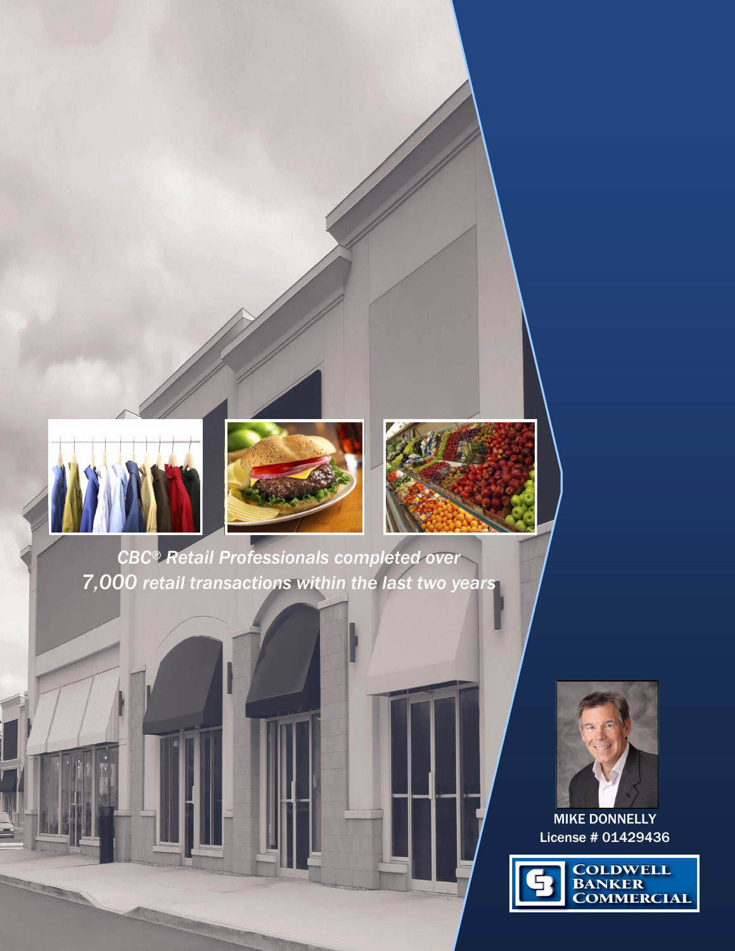

RETAIL SERVICES





*CBC® Retail Professionals completed over 7,000 retail transactions within the last two years*



MIKE DONNELLY License # 01429436